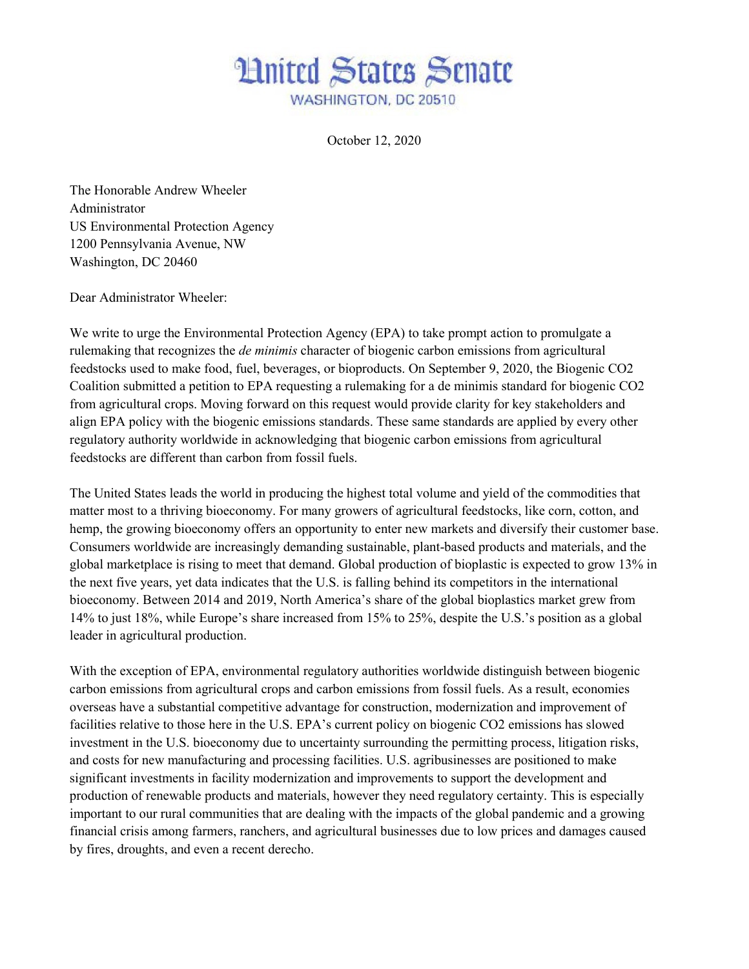## **Hnited States Senate** WASHINGTON, DC 20510

October 12, 2020

The Honorable Andrew Wheeler Administrator US Environmental Protection Agency 1200 Pennsylvania Avenue, NW Washington, DC 20460

Dear Administrator Wheeler:

We write to urge the Environmental Protection Agency (EPA) to take prompt action to promulgate a rulemaking that recognizes the *de minimis* character of biogenic carbon emissions from agricultural feedstocks used to make food, fuel, beverages, or bioproducts. On September 9, 2020, the Biogenic CO2 Coalition submitted a petition to EPA requesting a rulemaking for a de minimis standard for biogenic CO2 from agricultural crops. Moving forward on this request would provide clarity for key stakeholders and align EPA policy with the biogenic emissions standards. These same standards are applied by every other regulatory authority worldwide in acknowledging that biogenic carbon emissions from agricultural feedstocks are different than carbon from fossil fuels.

The United States leads the world in producing the highest total volume and yield of the commodities that matter most to a thriving bioeconomy. For many growers of agricultural feedstocks, like corn, cotton, and hemp, the growing bioeconomy offers an opportunity to enter new markets and diversify their customer base. Consumers worldwide are increasingly demanding sustainable, plant-based products and materials, and the global marketplace is rising to meet that demand. Global production of bioplastic is expected to grow 13% in the next five years, yet data indicates that the U.S. is falling behind its competitors in the international bioeconomy. Between 2014 and 2019, North America's share of the global bioplastics market grew from 14% to just 18%, while Europe's share increased from 15% to 25%, despite the U.S.'s position as a global leader in agricultural production.

With the exception of EPA, environmental regulatory authorities worldwide distinguish between biogenic carbon emissions from agricultural crops and carbon emissions from fossil fuels. As a result, economies overseas have a substantial competitive advantage for construction, modernization and improvement of facilities relative to those here in the U.S. EPA's current policy on biogenic CO2 emissions has slowed investment in the U.S. bioeconomy due to uncertainty surrounding the permitting process, litigation risks, and costs for new manufacturing and processing facilities. U.S. agribusinesses are positioned to make significant investments in facility modernization and improvements to support the development and production of renewable products and materials, however they need regulatory certainty. This is especially important to our rural communities that are dealing with the impacts of the global pandemic and a growing financial crisis among farmers, ranchers, and agricultural businesses due to low prices and damages caused by fires, droughts, and even a recent derecho.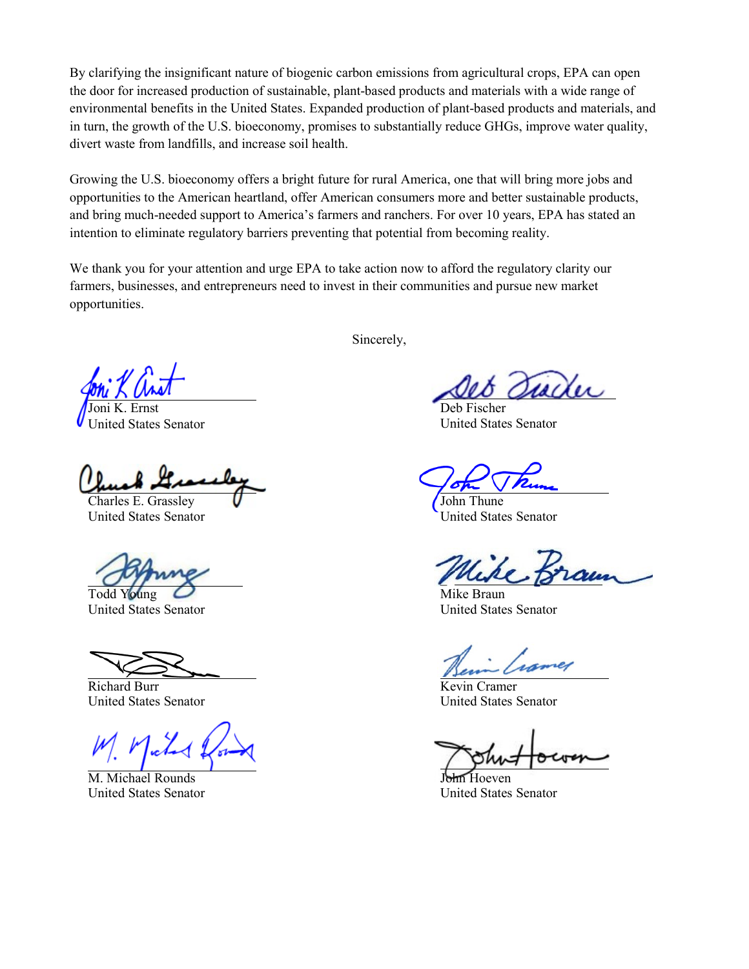By clarifying the insignificant nature of biogenic carbon emissions from agricultural crops, EPA can open the door for increased production of sustainable, plant-based products and materials with a wide range of environmental benefits in the United States. Expanded production of plant-based products and materials, and in turn, the growth of the U.S. bioeconomy, promises to substantially reduce GHGs, improve water quality, divert waste from landfills, and increase soil health.

Growing the U.S. bioeconomy offers a bright future for rural America, one that will bring more jobs and opportunities to the American heartland, offer American consumers more and better sustainable products, and bring much-needed support to America's farmers and ranchers. For over 10 years, EPA has stated an intention to eliminate regulatory barriers preventing that potential from becoming reality.

We thank you for your attention and urge EPA to take action now to afford the regulatory clarity our farmers, businesses, and entrepreneurs need to invest in their communities and pursue new market opportunities.

Joni K. Ernst United States Senator

Charles E. Grassley  $\bigcup$  John Thune

United States Senator United States Senator

United States Senator United States Senator

Richard Burr Kevin Cramer

United States Senator United States Senator

M. Michael Rounds John Hoeven

Sincerely,

\_

Deb Fischer United States Senator

\_

Todd Young  $\overline{O}$  Mike Braun

United States Senator United States Senator